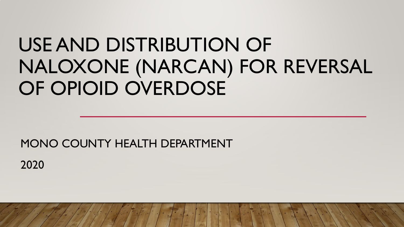# USE AND DISTRIBUTION OF NALOXONE (NARCAN) FOR REVERSAL OF OPIOID OVERDOSE

### MONO COUNTY HEALTH DEPARTMENT 2020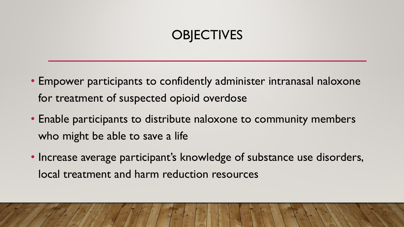### **OBJECTIVES**

- Empower participants to confidently administer intranasal naloxone for treatment of suspected opioid overdose
- Enable participants to distribute naloxone to community members who might be able to save a life
- Increase average participant's knowledge of substance use disorders, local treatment and harm reduction resources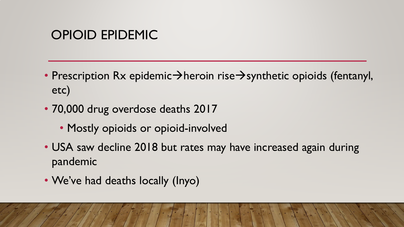#### OPIOID EPIDEMIC

- Prescription Rx epidemic $\rightarrow$ heroin rise $\rightarrow$ synthetic opioids (fentanyl, etc)
- 70,000 drug overdose deaths 2017
	- Mostly opioids or opioid-involved
- USA saw decline 2018 but rates may have increased again during pandemic
- We've had deaths locally (Inyo)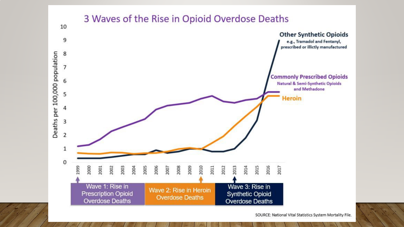

SOURCE: National Vital Statistics System Mortality File.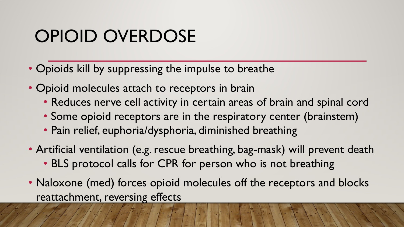## OPIOID OVERDOSE

- Opioids kill by suppressing the impulse to breathe
- Opioid molecules attach to receptors in brain
	- Reduces nerve cell activity in certain areas of brain and spinal cord
	- Some opioid receptors are in the respiratory center (brainstem)
	- Pain relief, euphoria/dysphoria, diminished breathing
- Artificial ventilation (e.g. rescue breathing, bag-mask) will prevent death • BLS protocol calls for CPR for person who is not breathing
- Naloxone (med) forces opioid molecules off the receptors and blocks reattachment, reversing effects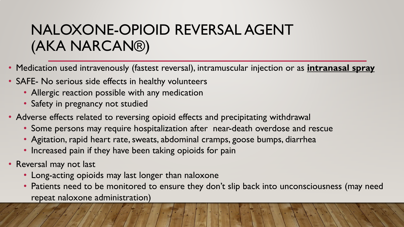### NALOXONE-OPIOID REVERSAL AGENT (AKA NARCAN®)

- Medication used intravenously (fastest reversal), intramuscular injection or as **intranasal spray**
- SAFE- No serious side effects in healthy volunteers
	- Allergic reaction possible with any medication
	- Safety in pregnancy not studied
- Adverse effects related to reversing opioid effects and precipitating withdrawal
	- Some persons may require hospitalization after near-death overdose and rescue
	- Agitation, rapid heart rate, sweats, abdominal cramps, goose bumps, diarrhea
	- Increased pain if they have been taking opioids for pain
- Reversal may not last
	- Long-acting opioids may last longer than naloxone
	- Patients need to be monitored to ensure they don't slip back into unconsciousness (may need repeat naloxone administration)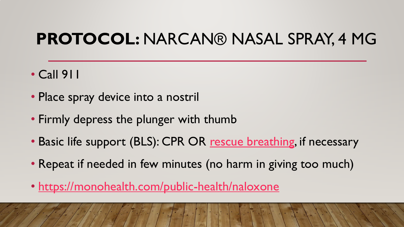### **PROTOCOL:** NARCAN® NASAL SPRAY, 4 MG

- Call 911
- Place spray device into a nostril
- Firmly depress the plunger with thumb
- Basic life support (BLS): CPR OR [rescue breathing,](https://www.youtube.com/watch?v=Zh44OeEMay0) if necessary
- Repeat if needed in few minutes (no harm in giving too much)
- <https://monohealth.com/public-health/naloxone>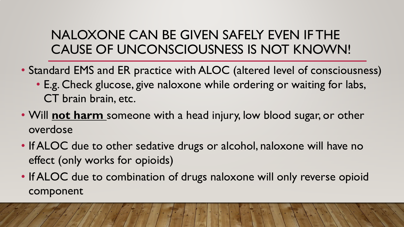#### NALOXONE CAN BE GIVEN SAFELY EVEN IF THE CAUSE OF UNCONSCIOUSNESS IS NOT KNOWN!

- Standard EMS and ER practice with ALOC (altered level of consciousness)
	- E.g. Check glucose, give naloxone while ordering or waiting for labs, CT brain brain, etc.
- Will **not harm** someone with a head injury, low blood sugar, or other overdose
- If ALOC due to other sedative drugs or alcohol, naloxone will have no effect (only works for opioids)
- If ALOC due to combination of drugs naloxone will only reverse opioid component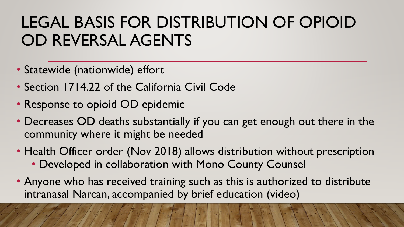## LEGAL BASIS FOR DISTRIBUTION OF OPIOID OD REVERSAL AGENTS

- Statewide (nationwide) effort
- Section 1714.22 of the California Civil Code
- Response to opioid OD epidemic
- Decreases OD deaths substantially if you can get enough out there in the community where it might be needed
- Health Officer order (Nov 2018) allows distribution without prescription • Developed in collaboration with Mono County Counsel
- Anyone who has received training such as this is authorized to distribute intranasal Narcan, accompanied by brief education (video)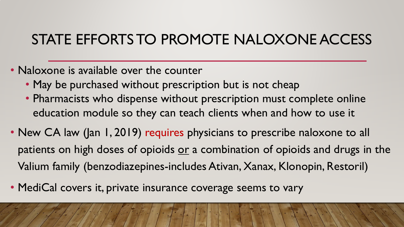### STATE EFFORTS TO PROMOTE NALOXONE ACCESS

- Naloxone is available over the counter
	- May be purchased without prescription but is not cheap
	- Pharmacists who dispense without prescription must complete online education module so they can teach clients when and how to use it
- New CA law (Jan 1, 2019) requires physicians to prescribe naloxone to all patients on high doses of opioids or a combination of opioids and drugs in the Valium family (benzodiazepines-includes Ativan, Xanax, Klonopin, Restoril)
- MediCal covers it, private insurance coverage seems to vary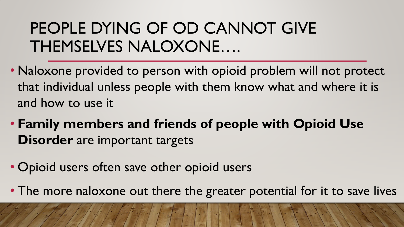## PEOPLE DYING OF OD CANNOT GIVE THEMSELVES NALOXONE….

- Naloxone provided to person with opioid problem will not protect that individual unless people with them know what and where it is and how to use it
- **Family members and friends of people with Opioid Use Disorder** are important targets
- Opioid users often save other opioid users
- The more naloxone out there the greater potential for it to save lives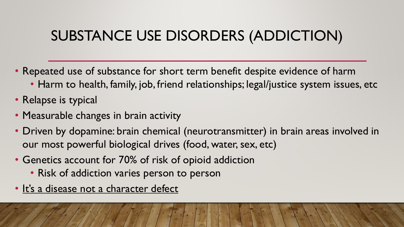### SUBSTANCE USE DISORDERS (ADDICTION)

- Repeated use of substance for short term benefit despite evidence of harm
	- Harm to health, family, job, friend relationships; legal/justice system issues, etc
- Relapse is typical
- Measurable changes in brain activity
- Driven by dopamine: brain chemical (neurotransmitter) in brain areas involved in our most powerful biological drives (food, water, sex, etc)
- Genetics account for 70% of risk of opioid addiction
	- Risk of addiction varies person to person
- It's a disease not a character defect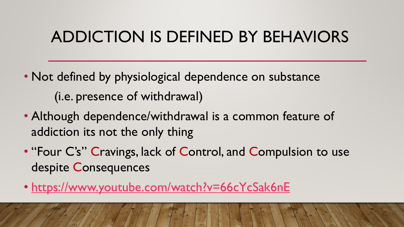### ADDICTION IS DEFINED BY BEHAVIORS

- Not defined by physiological dependence on substance (i.e. presence of withdrawal)
- Although dependence/withdrawal is a common feature of addiction its not the only thing
- "Four C's" Cravings, lack of Control, and Compulsion to use despite Consequences
- <https://www.youtube.com/watch?v=66cYcSak6nE>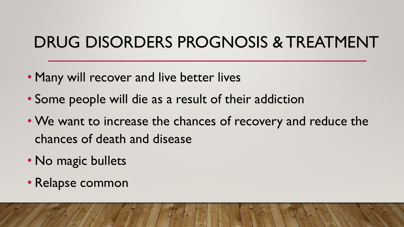## DRUG DISORDERS PROGNOSIS & TREATMENT

- Many will recover and live better lives
- Some people will die as a result of their addiction
- We want to increase the chances of recovery and reduce the chances of death and disease
- No magic bullets
- Relapse common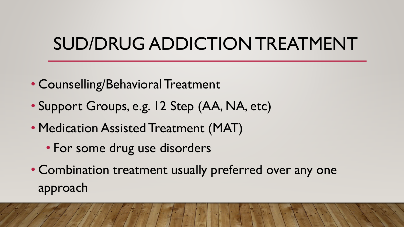## SUD/DRUG ADDICTION TREATMENT

- Counselling/Behavioral Treatment
- Support Groups, e.g. 12 Step (AA, NA, etc)
- Medication Assisted Treatment (MAT)
	- For some drug use disorders
- Combination treatment usually preferred over any one approach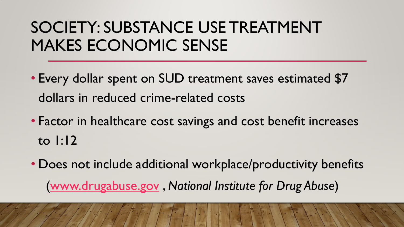## SOCIETY: SUBSTANCE USE TREATMENT MAKES ECONOMIC SENSE

- Every dollar spent on SUD treatment saves estimated \$7 dollars in reduced crime-related costs
- Factor in healthcare cost savings and cost benefit increases to 1:12
- Does not include additional workplace/productivity benefits ([www.drugabuse.gov](http://www.drugabuse.gov/) , *National Institute for Drug Abuse*)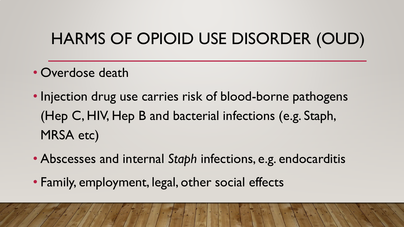## HARMS OF OPIOID USE DISORDER (OUD)

- Overdose death
- Injection drug use carries risk of blood-borne pathogens (Hep C, HIV, Hep B and bacterial infections (e.g. Staph, MRSA etc)
- Abscesses and internal *Staph* infections, e.g. endocarditis
- Family, employment, legal, other social effects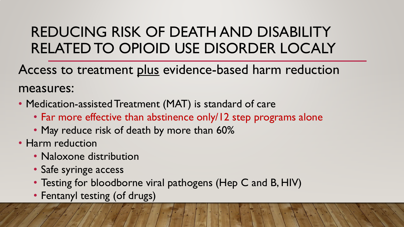### REDUCING RISK OF DEATH AND DISABILITY RELATED TO OPIOID USE DISORDER LOCALY

Access to treatment plus evidence-based harm reduction measures:

- Medication-assisted Treatment (MAT) is standard of care
	- Far more effective than abstinence only/12 step programs alone
	- May reduce risk of death by more than 60%
- Harm reduction
	- Naloxone distribution
	- Safe syringe access
	- Testing for bloodborne viral pathogens (Hep C and B, HIV)
	- Fentanyl testing (of drugs)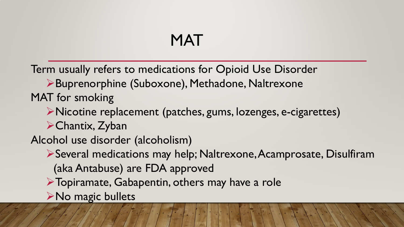### MAT

Term usually refers to medications for Opioid Use Disorder

Buprenorphine (Suboxone), Methadone, Naltrexone MAT for smoking

Nicotine replacement (patches, gums, lozenges, e-cigarettes)

Chantix, Zyban

Alcohol use disorder (alcoholism)

Several medications may help; Naltrexone, Acamprosate, Disulfiram (aka Antabuse) are FDA approved

Topiramate, Gabapentin, others may have a role

**≻No magic bullets**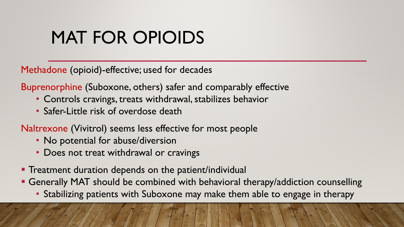## MAT FOR OPIOIDS

Methadone (opioid)-effective; used for decades

Buprenorphine (Suboxone, others) safer and comparably effective

- Controls cravings, treats withdrawal, stabilizes behavior
- Safer-Little risk of overdose death

Naltrexone (Vivitrol) seems less effective for most people

- No potential for abuse/diversion
- Does not treat withdrawal or cravings
- **Treatment duration depends on the patient/individual**
- Generally MAT should be combined with behavioral therapy/addiction counselling
	- Stabilizing patients with Suboxone may make them able to engage in therapy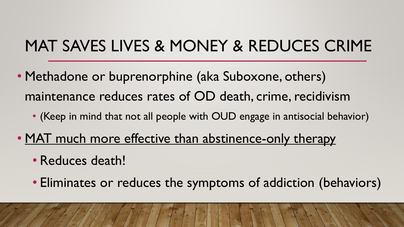## MAT SAVES LIVES & MONEY & REDUCES CRIME

- Methadone or buprenorphine (aka Suboxone, others) maintenance reduces rates of OD death, crime, recidivism
	- (Keep in mind that not all people with OUD engage in antisocial behavior)
- MAT much more effective than abstinence-only therapy
	- Reduces death!
	- Eliminates or reduces the symptoms of addiction (behaviors)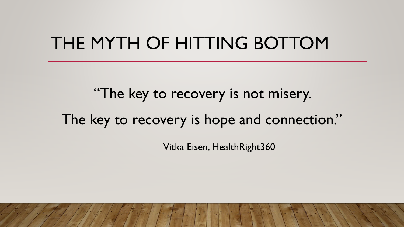## THE MYTH OF HITTING BOTTOM

"The key to recovery is not misery. The key to recovery is hope and connection."

Vitka Eisen, HealthRight360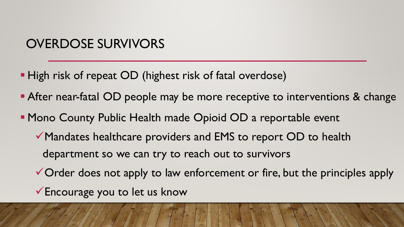#### OVERDOSE SURVIVORS

- **High risk of repeat OD (highest risk of fatal overdose)**
- After near-fatal OD people may be more receptive to interventions & change
- **Mono County Public Health made Opioid OD a reportable event** 
	- Mandates healthcare providers and EMS to report OD to health department so we can try to reach out to survivors
	- $\checkmark$  Order does not apply to law enforcement or fire, but the principles apply
	- Encourage you to let us know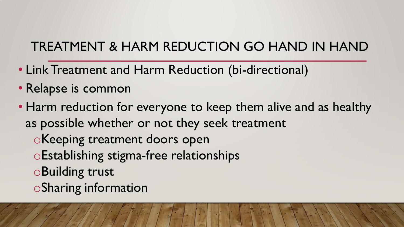### TREATMENT & HARM REDUCTION GO HAND IN HAND

- Link Treatment and Harm Reduction (bi-directional)
- Relapse is common
- Harm reduction for everyone to keep them alive and as healthy as possible whether or not they seek treatment
	- oKeeping treatment doors open
	- oEstablishing stigma-free relationships
	- oBuilding trust
	- oSharing information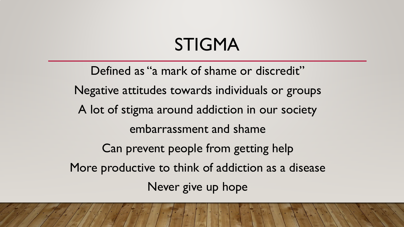## STIGMA

Defined as "a mark of shame or discredit" Negative attitudes towards individuals or groups A lot of stigma around addiction in our society embarrassment and shame Can prevent people from getting help More productive to think of addiction as a disease Never give up hope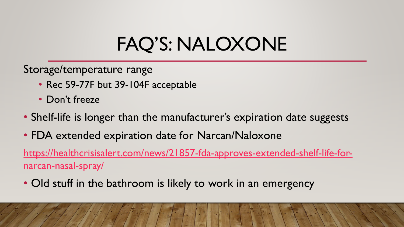# FAQ'S: NALOXONE

Storage/temperature range

- Rec 59-77F but 39-104F acceptable
- Don't freeze
- Shelf-life is longer than the manufacturer's expiration date suggests
- FDA extended expiration date for Narcan/Naloxone

[https://healthcrisisalert.com/news/21857-fda-approves-extended-shelf-life-for](https://healthcrisisalert.com/news/21857-fda-approves-extended-shelf-life-for-narcan-nasal-spray/)narcan-nasal-spray/

• Old stuff in the bathroom is likely to work in an emergency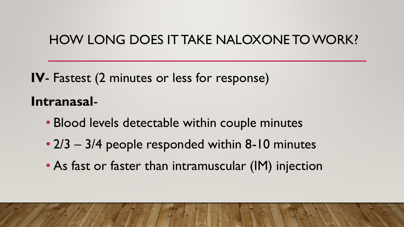#### HOW LONG DOES IT TAKE NALOXONE TO WORK?

**IV**- Fastest (2 minutes or less for response) **Intranasal**-

- Blood levels detectable within couple minutes
- 2/3 3/4 people responded within 8-10 minutes
- As fast or faster than intramuscular (IM) injection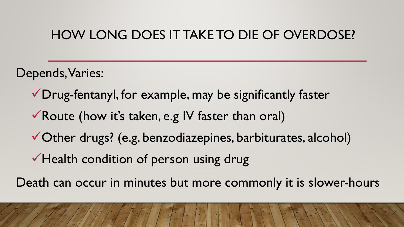#### HOW LONG DOES IT TAKE TO DIE OF OVERDOSE?

Depends, Varies:

- Drug-fentanyl, for example, may be significantly faster
- Route (how it's taken, e.g IV faster than oral)
- Other drugs? (e.g. benzodiazepines, barbiturates, alcohol)
- Health condition of person using drug

Death can occur in minutes but more commonly it is slower-hours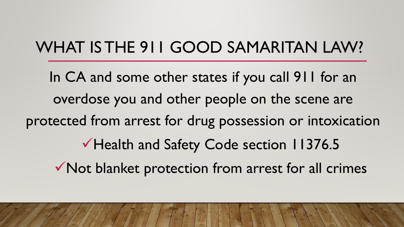## WHAT IS THE 911 GOOD SAMARITAN LAW?

In CA and some other states if you call 911 for an overdose you and other people on the scene are protected from arrest for drug possession or intoxication Health and Safety Code section 11376.5 Not blanket protection from arrest for all crimes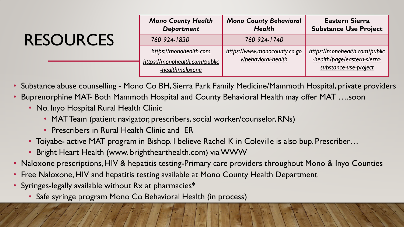## RESOURCES

| <b>Mono County Health</b><br><b>Department</b>                              | <b>Mono County Behavioral</b><br><b>Health</b>      | <b>Eastern Sierra</b><br><b>Substance Use Project</b>                                  |
|-----------------------------------------------------------------------------|-----------------------------------------------------|----------------------------------------------------------------------------------------|
| 760 924-1830                                                                | 760 924-1740                                        |                                                                                        |
| https://monohealth.com<br>https://monohealth.com/public<br>-health/naloxone | https://www.monocounty.ca.go<br>v/behavioral-health | https://monohealth.com/public<br>-health/page/eastern-sierra-<br>substance-use-project |

- Substance abuse counselling Mono Co BH, Sierra Park Family Medicine/Mammoth Hospital, private providers
- Buprenorphine MAT- Both Mammoth Hospital and County Behavioral Health may offer MAT ….soon
	- No. Inyo Hospital Rural Health Clinic
		- MAT Team (patient navigator, prescribers, social worker/counselor, RNs)
		- Prescribers in Rural Health Clinic and ER
	- Toiyabe- active MAT program in Bishop. I believe Rachel K in Coleville is also bup. Prescriber...
	- Bright Heart Health (www. brighthearthealth.com) via WWW
- Naloxone prescriptions, HIV & hepatitis testing-Primary care providers throughout Mono & Inyo Counties
- Free Naloxone, HIV and hepatitis testing available at Mono County Health Department
- Syringes-legally available without Rx at pharmacies\*
	- Safe syringe program Mono Co Behavioral Health (in process)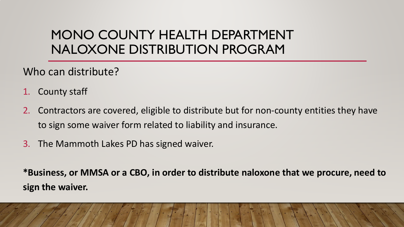#### MONO COUNTY HEALTH DEPARTMENT NALOXONE DISTRIBUTION PROGRAM

Who can distribute?

- 1. County staff
- 2. Contractors are covered, eligible to distribute but for non-county entities they have to sign some waiver form related to liability and insurance.
- 3. The Mammoth Lakes PD has signed waiver.

**\*Business, or MMSA or a CBO, in order to distribute naloxone that we procure, need to sign the waiver.**